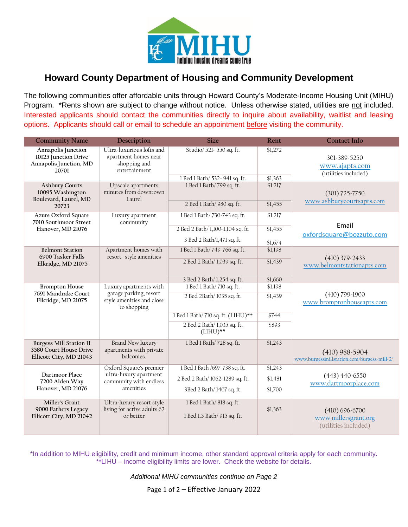

## **Howard County Department of Housing and Community Development**

The following communities offer affordable units through Howard County's Moderate-Income Housing Unit (MIHU) Program. \*Rents shown are subject to change without notice. Unless otherwise stated, utilities are not included. Interested applicants should contact the communities directly to inquire about availability, waitlist and leasing options. Applicants should call or email to schedule an appointment before visiting the community.

| <b>Community Name</b>                                                               | Description                                                                              | <b>Size</b>                                              | Rent    | <b>Contact Info</b>                                                |
|-------------------------------------------------------------------------------------|------------------------------------------------------------------------------------------|----------------------------------------------------------|---------|--------------------------------------------------------------------|
| Annapolis Junction<br>10125 Junction Drive<br>Annapolis Junction, MD<br>20701       | Ultra-luxurious lofts and<br>apartment homes near<br>shopping and<br>entertainment       | Studio/ 521-550 sq. ft.                                  | \$1,272 | 301-389-5250<br>www.ajapts.com<br>(utilities included)             |
|                                                                                     |                                                                                          | 1 Bed 1 Bath/ 532- 941 sq. ft.                           | \$1,363 |                                                                    |
| <b>Ashbury Courts</b><br>10095 Washington<br>Boulevard, Laurel, MD                  | Upscale apartments<br>minutes from downtown<br>Laurel                                    | 1 Bed 1 Bath/799 sq. ft.                                 | \$1,217 | $(301) 725 - 7750$<br>www.ashburycourtsapts.com                    |
| 20723                                                                               |                                                                                          | 2 Bed 1 Bath/ 980 sq. ft.                                | \$1,455 |                                                                    |
| Azure Oxford Square<br>7010 Southmoor Street<br>Hanover, MD 21076                   | Luxury apartment<br>community                                                            | 1 Bed 1 Bath/ 730-743 sq. ft.                            | \$1,217 | Email<br>oxfordsquare@bozzuto.com                                  |
|                                                                                     |                                                                                          | 2 Bed 2 Bath/1,100-1,104 sq. ft.                         | \$1,455 |                                                                    |
|                                                                                     |                                                                                          | 3 Bed 2 Bath/1,471 sq. ft.                               | \$1,674 |                                                                    |
| <b>Belmont Station</b><br>6900 Tasker Falls<br>Elkridge, MD 21075                   | Apartment homes with<br>resort-style amenities                                           | 1 Bed 1 Bath/749-766 sq. ft.                             | \$1,198 |                                                                    |
|                                                                                     |                                                                                          | 2 Bed 2 Bath/ 1,039 sq. ft.                              | \$1,439 | $(410)$ 379-2433<br>www.belmontstationapts.com                     |
|                                                                                     |                                                                                          | 3 Bed 2 Bath/ 1,254 sq. ft.                              | \$1,660 |                                                                    |
| <b>Brompton House</b>                                                               | Luxury apartments with                                                                   | 1 Bed 1 Bath/710 sq. ft.                                 | \$1,198 |                                                                    |
| 7691 Mandrake Court<br>Elkridge, MD 21075                                           | garage parking, resort<br>style amenities and close<br>to shopping                       | 2 Bed 2Bath/1035 sq. ft.                                 | \$1,439 | $(410)$ 799-1900<br>www.bromptonhouseapts.com                      |
|                                                                                     |                                                                                          | 1 Bed 1 Bath/710 sq. ft. (LIHU)**                        | \$744   |                                                                    |
|                                                                                     |                                                                                          | 2 Bed 2 Bath/1,035 sq. ft.<br>$(LIHU)**$                 | \$893   |                                                                    |
| <b>Burgess Mill Station II</b><br>3580 Court House Drive<br>Ellicott City, MD 21043 | <b>Brand New luxury</b><br>apartments with private<br>balconies.                         | 1 Bed 1 Bath/728 sq. ft.                                 | \$1,243 | $(410)$ 988-5904<br>www.burgessmillstation.com/burgess-mill-2/     |
| Dartmoor Place<br>7200 Alden Way<br>Hanover, MD 21076                               | Oxford Square's premier<br>ultra-luxury apartment<br>community with endless<br>amenities | 1 Bed 1 Bath /697-738 sq. ft.                            | \$1,243 |                                                                    |
|                                                                                     |                                                                                          | 2 Bed 2 Bath/1062-1289 sq. ft.                           | \$1,481 | $(443)$ 440-6550<br>www.dartmoorplace.com                          |
|                                                                                     |                                                                                          | 3Bed 2 Bath/1407 sq. ft.                                 | \$1,700 |                                                                    |
| Miller's Grant<br>9000 Fathers Legacy<br>Ellicott City, MD 21042                    | Ultra-luxury resort style<br>living for active adults 62<br>or better                    | 1 Bed 1 Bath/ 818 sq. ft.<br>1 Bed 1.5 Bath/ 915 sq. ft. | \$1,363 | $(410) 696 - 6700$<br>www.millersgrant.org<br>(utilities included) |

\*In addition to MIHU eligibility, credit and minimum income, other standard approval criteria apply for each community. \*\*LIHU – income eligibility limits are lower. Check the website for details.

*Additional MIHU communities continue on Page 2*

Page 1 of 2 – Effective January 2022